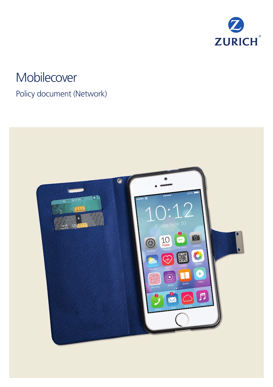

# **Mobilecover**

## Policy document (Network)

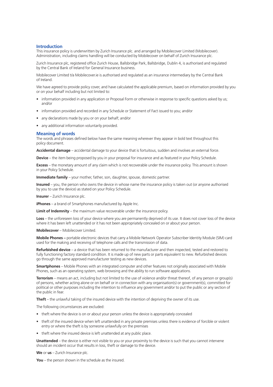#### **Introduction**

This insurance policy is underwritten by Zurich Insurance plc. and arranged by Mobilecover Limited (Mobilecover). Administration, including claims handling will be conducted by Mobilecover on behalf of Zurich Insurance plc.

Zurich Insurance plc, registered office Zurich House, Ballsbridge Park, Ballsbridge, Dublin 4, is authorised and regulated by the Central Bank of Ireland for General Insurance business.

Mobilecover Limited t/a Mobilecover.ie is authorised and regulated as an insurance intermediary by the Central Bank of Ireland.

We have agreed to provide policy cover, and have calculated the applicable premium, based on information provided by you or on your behalf including but not limited to:

- information provided in any application or Proposal Form or otherwise in response to specific questions asked by us; and/or
- information provided and recorded in any Schedule or Statement of Fact issued to you; and/or
- any declarations made by you or on your behalf; and/or
- any additional information voluntarily provided.

#### **Meaning of words**

The words and phrases defined below have the same meaning wherever they appear in bold text throughout this policy document.

**Accidental damage** – accidental damage to your device that is fortuitous, sudden and involves an external force.

**Device** – the item being proposed by you in your proposal for insurance and as featured in your Policy Schedule.

**Excess** – the monetary amount of any claim which is not recoverable under the insurance policy. This amount is shown in your Policy Schedule.

**Immediate family** – your mother, father, son, daughter, spouse, domestic partner.

**Insured** – you, the person who owns the device in whose name the insurance policy is taken out (or anyone authorised by you to use the device) as stated on your Policy Schedule.

**Insurer** – Zurich Insurance plc.

**iPhones** – a brand of Smartphones manufactured by Apple Inc.

**Limit of Indemnity** – the maximum value recoverable under the insurance policy.

**Loss** – the unforeseen loss of your device where you are permanently deprived of its use. It does not cover loss of the device where it has been left unattended or it has not been appropriately concealed on or about your person.

**Mobilecover** – Mobilecover Limited.

**Mobile Phones –** portable electronic devices that carry a Mobile Network Operator Subscriber Identity Module (SIM) card used for the making and receiving of telephone calls and the transmission of data.

**Refurbished device** – a device that has been returned to the manufacturer and then inspected, tested and restored to fully functioning factory standard condition. It is made up of new parts or parts equivalent to new. Refurbished devices go through the same approved manufacturer testing as new devices.

**Smartphones** – Mobile Phones with an integrated computer and other features not originally associated with Mobile Phones, such as an operating system, web browsing and the ability to run software applications.

**Terrorism** – means an act, including but not limited to the use of violence and/or threat thereof, of any person or group(s) of persons, whether acting alone or on behalf or in connection with any organisation(s) or government(s), committed for political or other purposes including the intention to influence any government and/or to put the public or any section of the public in fear.

**Theft** – the unlawful taking of the insured device with the intention of depriving the owner of its use.

The following circumstances are excluded:

- theft where the device is on or about your person unless the device is appropriately concealed
- theft of the insured device when left unattended in any private premises unless there is evidence of forcible or violent entry or where the theft is by someone unlawfully on the premises
- theft where the insured device is left unattended at any public place.

**Unattended** – the device is either not visible to you or your proximity to the device is such that you cannot intervene should an incident occur that results in loss, theft or damage to the device.

**We** or **us** – Zurich Insurance plc.

**You** – the person shown in the schedule as the insured.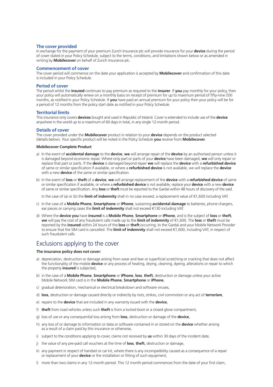#### **The cover provided**

In exchange for the payment of your premium Zurich Insurance plc will provide insurance for your **device** during the period of cover stated in your Policy Schedule, subject to the terms, conditions, and limitations shown below or as amended in writing by **Mobilecover** on behalf of Zurich Insurance plc.

#### **Commencement of cover**

The cover period will commence on the date your application is accepted by **Mobilecover** and confirmation of this date is included in your Policy Schedule.

#### **Period of cover**

The period whilst the **insured** continues to pay premium as required to the **insurer**. If **you** pay monthly for your policy, then your policy will automatically renew on a monthly basis on receipt of premium for up to maximum period of fifty-nine (59) months, as notified in your Policy Schedule. If **you** have paid an annual premium for your policy then your policy will be for a period of 12 months from the policy start date as notified in your Policy Schedule.

#### **Territorial limits**

This insurance only covers **devices** bought and used in Republic of Ireland. Cover is extended to include use of the **device** anywhere in the world up to a maximum of 60 days in total, in any single 12-month period.

#### **Details of cover**

The cover provided under the **Mobilecover** product in relation to your **device** depends on the product selected (details below). Your specific product will be noted in the Policy Schedule **you** receive from **Mobilecover**.

#### **Mobilecover Complete Product**

- a) In the event of **accidental damage** to the **device**, **we** will arrange repair of the **device** by an authorised person unless it is damaged beyond economic repair. Where only part or parts of your **device** have been damaged, **we** will only repair or replace that part or parts. If the **device** is damaged beyond repair **we** will replace the **device** with a **refurbished device** of same or similar specification if available, or where a **refurbished device** is not available, we will replace the **device** with a new **device** of the same or similar specification.
- b) In the event of **loss** or **theft** of a **device**, **we** will arrange replacement of the **device** with a **refurbished device** of same or similar specification if available, or where a **refurbished device** is not available, replace your **device** with a new **device** of same or similar specification. Any **loss** or **theft** must be reported to the Gardaí within 48 hours of discovery of the said.

In the case of (a) or (b) the **limit of indemnity** shall in no case exceed, a replacement value of €1,600 including VAT.

- c) In the case of a **Mobile Phone**, **Smartphone** or **iPhone**, sustaining **accidental damage** to batteries, phone chargers, ear pieces or carrying cases the **limit of indemnity** shall not exceed €130 including VAT.
- d) Where the **device you** have **insured** is a **Mobile Phone**, **Smartphone** or **iPhone**, and is the subject of **loss** or **theft**, **we** will pay the cost of any fraudulent calls made up to the **limit of indemnity** of €1,600. The **loss** or **theft** must be reported by the **insured** within 24 hours of the **loss** or **theft** occurring, to the Gardaí and your Mobile Network Provider to ensure that the SIM card is cancelled. The **limit of indemnity** shall not exceed €1,600, including VAT, in respect of such fraudulent calls.

## Exclusions applying to the cover

#### **The insurance policy does not cover:**

- a) depreciation, destruction or damage arising from wear and tear or superficial scratching or cracking that does not affect the functionality of the mobile **device** or any process of heating, drying, cleaning, dyeing, alterations or repair to which the property **insured** is subjected,
- b) in the case of a **Mobile Phone**, **Smartphone** or **iPhone**, **loss**, **theft**, destruction or damage unless your active Mobile Network SIM card is in the **Mobile Phone**, **Smartphone** or **iPhone**,
- c) gradual deterioration, mechanical or electrical breakdown and software viruses,
- d) **loss**, destruction or damage caused directly or indirectly by riots, strikes, civil commotion or any act of **terrorism**,
- e) repairs to the **device** that are included in any warranty issued with the **device**,
- f) **theft** from road vehicles unless such **theft** is from a locked boot or a closed glove compartment,
- g) loss of use or any consequential loss arising from **loss**, destruction or damage of the **device**,
- h) any loss of or damage to information or data or software contained in or stored on the **device** whether arising as a result of a claim paid by this insurance or otherwise,
- i) subject to the conditions applying to cover, claims not received by **us** within 30 days of the incident date,
- j) the value of any pre-paid call vouchers at the time of **loss**, **theft**, destruction or damage,
- k) any payment in respect of handset or car kit, where there is any incompatibility caused as a consequence of a repair or replacement of your **device** or the installation or fitting of such equipment,
- l) more than two claims in any 12-month period. This 12 month period commences from the date of your first claim,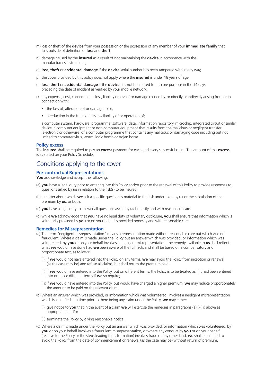- m) loss or theft of the **device** from your possession or the possession of any member of your **immediate family** that falls outside of definition of **loss** and **theft**,
- n) damage caused by the **insured** as a result of not maintaining the **device** in accordance with the manufacturer's instructions,
- o) **loss**, **theft** or **accidental damage** if the **device** serial number has been tampered with in any way,
- p) the cover provided by this policy does not apply where the **insured** is under 18 years of age,
- q) **loss**, **theft** or **accidental damage** if the **device** has not been used for its core purpose in the 14 days preceding the date of incident as verified by your mobile network,
- r) any expense, cost, consequential loss, liability or loss of or damage caused by, or directly or indirectly arising from or in connection with:
	- the loss of, alteration of or damage to or;
	- a reduction in the functionality, availability of or operation of;

a computer system, hardware, programme, software, data, information repository, microchip, integrated circuit or similar device in computer equipment or non-computer equipment that results from the malicious or negligent transfer (electronic or otherwise) of a computer programme that contains any malicious or damaging code including but not limited to computer virus, worm, logic bomb or trojan horse.

#### **Policy excess**

The **insured** shall be required to pay an **excess** payment for each and every successful claim. The amount of this **excess** is as stated on your Policy Schedule.

## Conditions applying to the cover

#### **Pre-contractual Representations**

**You** acknowledge and accept the following:

- (a) **you** have a legal duty prior to entering into this Policy and/or prior to the renewal of this Policy to provide responses to questions asked by **us** in relation to the risk(s) to be insured.
- (b) a matter about which **we** ask a specific question is material to the risk undertaken by **us** or the calculation of the premium by **us**, or both.
- (c) **you** have a legal duty to answer all questions asked by **us** honestly and with reasonable care.
- (d) while **we** acknowledge that **you** have no legal duty of voluntary disclosure, **you** shall ensure that information which is voluntarily provided by **you** or on your behalf is provided honestly and with reasonable care.

#### **Remedies for Misrepresentation**

- (a) The term "negligent misrepresentation" means a representation made without reasonable care but which was not fraudulent. Where a claim is made under the Policy but an answer which was provided, or information which was volunteered, by **you** or on your behalf involves a negligent misrepresentation, the remedy available to **us** shall reflect what **we** would have done had **we** been aware of the full facts and shall be based on a compensatory and proportionate test, as follows:
	- (i) if **we** would not have entered into the Policy on any terms, **we** may avoid the Policy from inception or renewal (as the case may be) and refuse all claims, but shall return the premium paid;
	- (ii) if **we** would have entered into the Policy, but on different terms, the Policy is to be treated as if it had been entered into on those different terms if **we** so require;
	- (iii) if **we** would have entered into the Policy, but would have charged a higher premium, **we** may reduce proportionately the amount to be paid on the relevant claim.
- (b) Where an answer which was provided, or information which was volunteered, involves a negligent misrepresentation which is identified at a time prior to there being any claim under the Policy, **we** may either:
	- (i) give notice to **you** that in the event of a claim **we** will exercise the remedies in paragraphs (a)(i)-(iii) above as appropriate; and/or
	- (ii) terminate the Policy by giving reasonable notice.
- (c) Where a claim is made under the Policy but an answer which was provided, or information which was volunteered, by **you** or on your behalf involves a fraudulent misrepresentation, or where any conduct by **you** or on your behalf (relative to the Policy or the steps leading to its formation) involves fraud of any other kind, **we** shall be entitled to avoid the Policy from the date of commencement or renewal (as the case may be) without return of premium.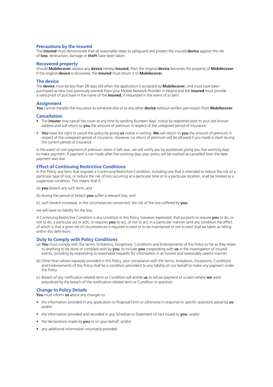#### **Precautions by the insured**

The **insured** must demonstrate that all reasonable steps to safeguard and protect the insured **device** against the risk of **loss**, destruction, damage or **theft** have been taken.

#### **Recovered property**

Should **Mobilecover** replace any **device** hereby **insured**, then the original **device** becomes the property of **Mobilecover**. If the original **device** is recovered, the **insured** must return it to **Mobilecover**.

#### **The device**

The **device** must be less than 28 days old when the application is accepted by **Mobilecover**, and must have been purchased as new (not previously owned) from your Mobile Network Provider in Ireland and the **insured** must provide a valid proof of purchase in the name of the **insured**, if requested in the event of a claim.

#### **Assignment**

**You** cannot transfer the insurance to someone else or to any other **device** without written permission from **Mobilecover**.

#### **Cancellation**

- The **insurer** may cancel the cover at any time by sending fourteen days' notice by registered post to your last known address and will return to **you** the amount of premium in respect of the unexpired period of insurance.
- **You** have the right to cancel the policy by giving **us** notice in writing. **We** will return to **you** the amount of premium in respect of the unexpired period of insurance. However, no return of premium will be allowed if you made a claim during the current period of insurance.

in the event of non-payment of premium when it falls due, we will notify you by post/email giving you five working days to make payment. If payment is not made after five working days your policy will be marked as cancelled from the date payment was due.

#### **Effect of Continuing Restrictive Conditions**

In this Policy, any term that imposes a Continuing Restrictive Condition, including one that is intended to reduce the risk of a particular type of loss, or reduce the risk of loss occurring at a particular time or in a particular location, shall be treated as a suspensive condition. This means that if:

- (a) **you** breach any such term; and
- (b) during the period of breach **you** suffer a relevant loss; and
- (c) such breach increased, in the circumstances concerned, the risk of the loss suffered by **you**,

we will have no liability for the loss.

A Continuing Restrictive Condition is any condition in this Policy, however expressed, that purports to require **you** to do, or not to do, a particular act or acts, or requires **you** to act, or not to act, in a particular manner (and any condition the effect of which is that a given set of circumstances is required to exist or to be maintained or not to exist shall be taken as falling within this definition).

#### **Duty to Comply with Policy Conditions**

- (a) **You** must comply with the terms, limitations, Exceptions, Conditions and Endorsements of this Policy so far as they relate to anything to be done or complied with by **you**, to include **you** cooperating with **us** in the investigation of insured events, including by responding to reasonable requests for information in an honest and reasonably careful manner.
- (b) Other than where expressly provided in this Policy, your compliance with the terms, limitations, Exceptions, Conditions and Endorsements of this Policy shall be a condition precedent to any liability on our behalf to make any payment under the Policy.
- (c) Breach of any notification-related term or Condition will entitle **us** to refuse payment of a claim where **we** were prejudiced by the breach of the notification-related term or Condition in question.

#### **Change to Policy Details**

**You** must inform **us** about any changes to:

- the information provided in any application or Proposal Form or otherwise in response to specific questions asked by **us**; and/or
- the information provided and recorded in any Schedule or Statement of Fact issued to **you**; and/or
- the declarations made by **you** or on your behalf; and/or
- any additional information voluntarily provided.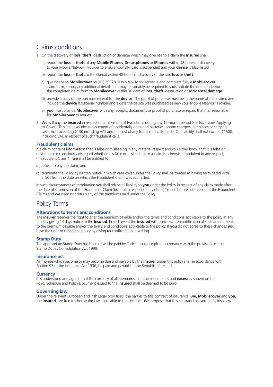## Claims conditions

- 1. On the discovery of **loss**, **theft**, destruction or damage which may give rise to a claim the **insured** shall:
	- a) report the **loss** or **theft** of any **Mobile Phones**, **Smartphones** or **iPhones** within 48 hours of discovery to your Mobile Network Provider to ensure your SIM card is suspended and your **device** is blacklisted
	- b) report the **loss** or **theft** to the Gardaí within 48 hours of discovery of the said **loss** or **theft**
	- c) give notice to **Mobilecover** on (01) 2932810 or www.Mobilecover.ie and complete fully a **Mobilecover** claim form, supply any additional details that may reasonably be required to substantiate the claim and return the completed claim form to **Mobilecover** within 30 days of **loss**, **theft**, destruction or **accidental damage**.
	- d) provide a copy of the purchase receipt for the **device**. The proof of purchase must be in the name of the insured and include the **device** IMEI/Serial number and a date the device was purchased as new your Mobile Network Provider.
	- e) **you** must provide **Mobilecover** with any receipts, documents or proof of purchase or repair, that it is reasonable for **Mobilecover** to request.
- 2. **We** will pay the **insured** in respect of a maximum of two claims during any 12-month period (see Exclusions Applying to Cover). This limit excludes replacement of accidentally damaged batteries, phone chargers, ear pieces or carrying cases not exceeding €130 including VAT and the cost of any fraudulent calls made. Our liability shall not exceed €1500, including VAT, in respect of such fraudulent calls.

#### **Fraudulent claims**

If a claim contains information that is false or misleading in any material respect and you either know that it is false or misleading or consciously disregard whether it is false or misleading, or a claim is otherwise fraudulent in any respect, ("Fraudulent Claim"), **we** shall be entitled to:

(a) refuse to pay the claim; and

(b) terminate the Policy by written notice in which case cover under the Policy shall be treated as having terminated with effect from the date on which the Fraudulent Claim was submitted.

In such circumstances of termination **we** shall refuse all liability to **you** under the Policy in respect of any claim made after the date of submission of the Fraudulent Claim (but not in respect of any claim(s) made before submission of the Fraudulent Claim) and **we** need not return any of the premiums paid under the Policy.

## Policy Terms

#### **Alterations to terms and conditions**

The **insurer** reserves the right to alter the premium payable and/or the terms and conditions applicable to the policy at any time by giving 14 days notice to the **insured**. In such event the **insured** will receive written notification of such amendments to the premium payable and/or the terms and conditions applicable to the policy. If **you** do not agree to these changes **you** have the right to cancel the policy by giving **us** confirmation in writing.

#### **Stamp Duty**

The appropriate Stamp Duty has been or will be paid by Zurich Insurance plc in accordance with the provisions of the Stamp Duties Consolidation Act 1999.

#### **Insurance act**

All monies which become or may become due and payable by the **insurer** under this policy shall in accordance with Section 93 of the Insurance Act 1936, be paid and payable in the Republic of Ireland.

#### **Currency**

It is understood and agreed that the currency of all premiums, limits of indemnities and **excesses** shown on the Policy Schedule and Policy Document issued to the **insured** shall be deemed to be Euro.

#### **Governing law**

Under the relevant European and Irish Legal provisions, the parties to this contract of insurance, **we**, **Mobilecover** and **you**, the **insured**, are free to choose the law applicable to the contract. **We** propose that this contract is governed by Irish Law.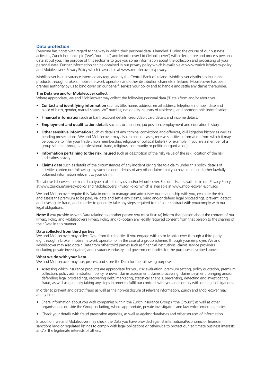#### **Data protection**

Everyone has rights with regard to the way in which their personal data is handled. During the course of our business activities, Zurich Insurance plc ('we', 'our', 'us') and Mobilecover Ltd ('Mobilecover') will collect, store and process personal data about you. The purpose of this section is to give you some information about the collection and processing of your personal data. Further information can be obtained in our privacy policy which is available at www.zurich.ie/privacy-policy and Mobilecover's Privacy Policy which is available at www.mobilecover.ie/privacy.

Mobilecover is an insurance intermediary regulated by the Central Bank of Ireland. Mobilecover distributes insurance products through brokers, mobile network operators and other distribution channels in Ireland. Mobilecover has been granted authority by us to bind cover on our behalf, service your policy and to handle and settle any claims thereunder.

#### **The Data we and/or Mobilecover collect**

Where appropriate, we and Mobilecover may collect the following personal data ('Data') from and/or about you:

- **Contact and identifying information** such as title, name, address, email address, telephone number, date and place of birth, gender, marital status, VAT number, nationality, country of residence, and photographic identification.
- **Financial information** such as bank account details, credit/debit card details and income details.
- **Employment and qualification details** such as occupation, job position, employment and education history.
- **Other sensitive information** such as details of any criminal convictions and offences, civil litigation history as well as pending prosecutions. We and Mobilecover may also, in certain cases, receive sensitive information from which it may be possible to infer your trade union membership, religious or political beliefs (for example, if you are a member of a group scheme through a professional, trade, religious, community or political organisation).
- **Information pertaining to the risk insured** such as description of the risk, value of the risk, location of the risk and claims history.
- **Claims data** such as details of the circumstances of any incident giving rise to a claim under this policy, details of activities carried out following any such incident, details of any other claims that you have made and other lawfully obtained information relevant to your claim.

The above list covers the main data types collected by us and/or Mobilecover. Full details are available in our Privacy Policy at www.zurich.ie/privacy-policy and Mobilecover's Privacy Policy which is available at www.mobilecover.ie/privacy.

We and Mobilecover require this Data in order to manage and administer our relationship with you, evaluate the risk and assess the premium to be paid, validate and settle any claims, bring and/or defend legal proceedings, prevent, detect and investigate fraud, and in order to generally take any steps required to fulfil our contract with you/comply with our legal obligations.

**Note:** If you provide us with Data relating to another person you must first: (a) inform that person about the content of our Privacy Policy and Mobilecover's Privacy Policy and (b) obtain any legally required consent from that person to the sharing of their Data in this manner.

#### **Data collected from third parties**

We and Mobilecover may collect Data from third parties if you engage with us or Mobilecover through a third party e.g. through a broker, mobile network operator, or in the case of a group scheme, through your employer. We and Mobilecover may also obtain Data from other third parties such as financial institutions, claims service providers (including private investigators) and insurance industry and government bodies for the purposes described above.

#### **What we do with your Data**

We and Mobilecover may use, process and store the Data for the following purposes:

• Assessing which insurance products are appropriate for you, risk evaluation, premium setting, policy quotation, premium collection, policy administration, policy renewal, claims assessment, claims processing, claims payment, bringing and/or defending legal proceedings, recovering debt, marketing, statistical analysis, preventing, detecting and investigating fraud, as well as generally taking any steps in order to fulfil our contract with you and comply with our legal obligations.

In order to prevent and detect fraud as well as the non-disclosure of relevant information, Zurich and Mobilecover may at any time:

- Share information about you with companies within the Zurich Insurance Group ("the Group") as well as other organisations outside the Group including, where appropriate, private investigators and law enforcement agencies.
- Check your details with fraud prevention agencies, as well as against databases and other sources of information.

In addition, we and Mobilecover may check the Data you have provided against international/economic or financial sanctions laws or regulated listings to comply with legal obligations or otherwise to protect our legitimate business interests and/or the legitimate interests of others.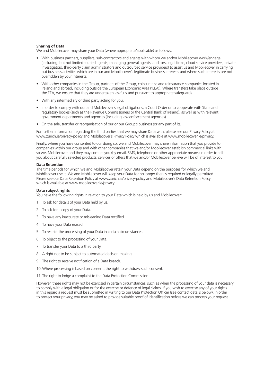#### **Sharing of Data**

We and Mobilecover may share your Data (where appropriate/applicable) as follows:

- With business partners, suppliers, sub-contractors and agents with whom we and/or Mobilecover work/engage (including, but not limited to, tied agents, managing general agents, auditors, legal firms, cloud service providers, private investigators, third-party claim administrators and outsourced service providers) to assist us and Mobilecover in carrying out business activities which are in our and Mobilecover's legitimate business interests and where such interests are not overridden by your interests.
- With other companies in the Group, partners of the Group, coinsurance and reinsurance companies located in Ireland and abroad, including outside the European Economic Area ('EEA'). Where transfers take place outside the EEA, we ensure that they are undertaken lawfully and pursuant to appropriate safeguards.
- With any intermediary or third party acting for you.
- In order to comply with our and Mobilecover's legal obligations, a Court Order or to cooperate with State and regulatory bodies (such as the Revenue Commissioners or the Central Bank of Ireland), as well as with relevant government departments and agencies (including law enforcement agencies).
- On the sale, transfer or reorganisation of our or our Group's business (or any part of it).

For further information regarding the third parties that we may share Data with, please see our Privacy Policy at www.zurich.ie/privacy-policy and Mobilecover's Privacy Policy which is available at www.mobilecover.ie/privacy.

Finally, where you have consented to our doing so, we and Mobilecover may share information that you provide to companies within our group and with other companies that we and/or Mobilecover establish commercial links with so we, Mobilecover and they may contact you (by email, SMS, telephone or other appropriate means) in order to tell you about carefully selected products, services or offers that we and/or Mobilecover believe will be of interest to you.

#### **Data Retention**

The time periods for which we and Mobilecover retain your Data depend on the purposes for which we and Mobilecover use it. We and Mobilecover will keep your Data for no longer than is required or legally permitted. Please see our Data Retention Policy at www.zurich.ie/privacy-policy and Mobilecover's Data Retention Policy which is available at www.mobilecover.ie/privacy.

#### **Data subject rights**

You have the following rights in relation to your Data which is held by us and Mobilecover:

- 1. To ask for details of your Data held by us.
- 2. To ask for a copy of your Data.
- 3. To have any inaccurate or misleading Data rectified.
- 4. To have your Data erased.
- 5. To restrict the processing of your Data in certain circumstances.
- 6. To object to the processing of your Data.
- 7. To transfer your Data to a third party.
- 8. A right not to be subject to automated decision making.
- 9. The right to receive notification of a Data breach.
- 10.Where processing is based on consent, the right to withdraw such consent.
- 11. The right to lodge a complaint to the Data Protection Commission.

However, these rights may not be exercised in certain circumstances, such as when the processing of your data is necessary to comply with a legal obligation or for the exercise or defence of legal claims. If you wish to exercise any of your rights in this regard a request must be submitted in writing to our Data Protection Officer (see contact details below). In order to protect your privacy, you may be asked to provide suitable proof of identification before we can process your request.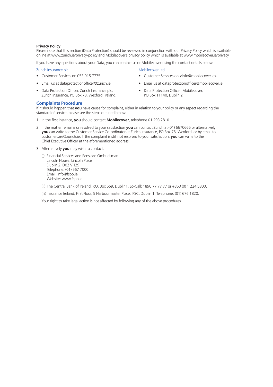#### **Privacy Policy**

Please note that this section (Data Protection) should be reviewed in conjunction with our Privacy Policy which is available online at www.zurich.ie/privacy-policy and Mobilecover's privacy policy which is available at www.mobilecover.ie/privacy.

If you have any questions about your Data, you can contact us or Mobilecover using the contact details below.

#### Zurich Insurance plc

- Customer Services on 053 915 7775
- Email us at dataprotectionofficer@zurich.ie
- Data Protection Officer, Zurich Insurance plc, Zurich Insurance, PO Box 78, Wexford, Ireland.

### Mobilecover Ltd • Customer Services on <info@mobilecover.ie>

- Email us at dataprotectionofficer@mobilecover.ie
- Data Protection Officer, Mobilecover, PO Box 11140, Dublin 2

#### **Complaints Procedure**

If it should happen that **you** have cause for complaint, either in relation to your policy or any aspect regarding the standard of service, please see the steps outlined below.

- 1. In the first instance, **you** should contact **Mobilecover**, telephone 01 293 2810.
- 2. If the matter remains unresolved to your satisfaction **you** can contact Zurich at (01) 6670666 or alternatively **you** can write to the Customer Service Co-ordinator at Zurich Insurance, PO Box 78, Wexford, or by email to customercare@zurich.ie. If the complaint is still not resolved to your satisfaction, **you** can write to the Chief Executive Officer at the aforementioned address.
- 3. Alternatively **you** may wish to contact:
	- (i) Financial Services and Pensions Ombudsman Lincoln House, Lincoln Place Dublin 2, D02 VH29 Telephone: (01) 567 7000 Email: info@fspo.ie Website: www.fspo.ie
	- (ii) The Central Bank of Ireland, P.O. Box 559, Dublin1. Lo-Call: 1890 77 77 77 or +353 (0) 1 224 5800.

(iii) Insurance Ireland, First Floor, 5 Harbourmaster Place, IFSC, Dublin 1. Telephone: (01) 676 1820.

Your right to take legal action is not affected by following any of the above procedures.